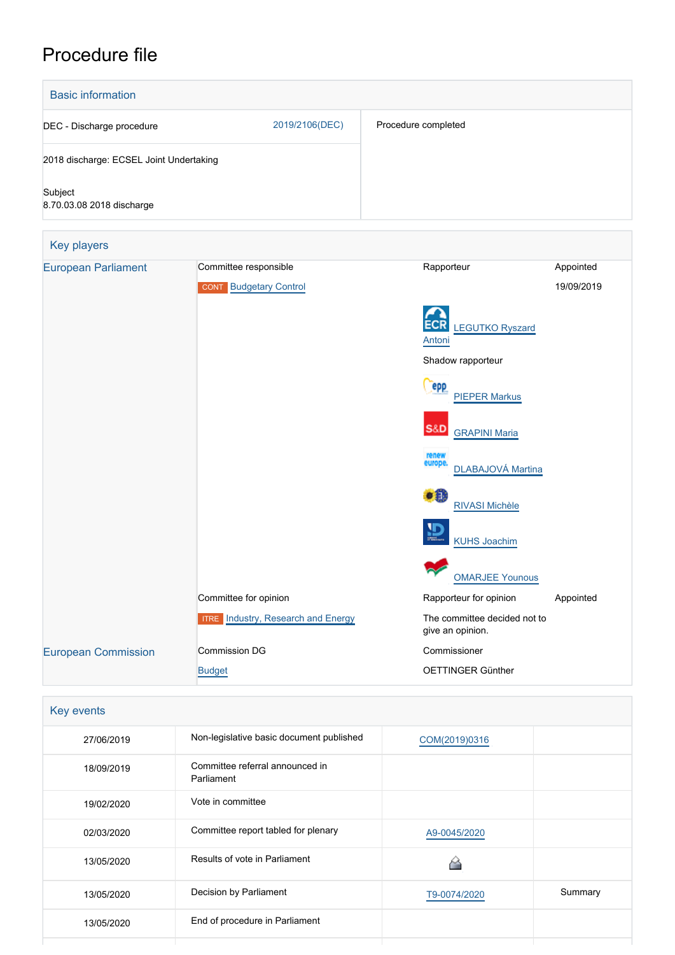# Procedure file

| <b>Basic information</b>                |                                                        |                                                  |                         |
|-----------------------------------------|--------------------------------------------------------|--------------------------------------------------|-------------------------|
| DEC - Discharge procedure               | 2019/2106(DEC)                                         | Procedure completed                              |                         |
| 2018 discharge: ECSEL Joint Undertaking |                                                        |                                                  |                         |
| Subject<br>8.70.03.08 2018 discharge    |                                                        |                                                  |                         |
| <b>Key players</b>                      |                                                        |                                                  |                         |
| <b>European Parliament</b>              | Committee responsible<br><b>CONT</b> Budgetary Control | Rapporteur                                       | Appointed<br>19/09/2019 |
|                                         |                                                        | <b>LEGUTKO Ryszard</b><br>Antoni                 |                         |
|                                         |                                                        | Shadow rapporteur                                |                         |
|                                         |                                                        | epp<br><b>PIEPER Markus</b>                      |                         |
|                                         |                                                        | <b>S&amp;D</b><br><b>GRAPINI Maria</b>           |                         |
|                                         |                                                        | renew<br>europe.<br>DLABAJOVÁ Martina            |                         |
|                                         |                                                        | TЕ<br>RIVASI Michèle                             |                         |
|                                         |                                                        | <b>KUHS Joachim</b>                              |                         |
|                                         |                                                        | <b>OMARJEE Younous</b>                           |                         |
|                                         | Committee for opinion                                  | Rapporteur for opinion                           | Appointed               |
|                                         | <b>ITRE</b> Industry, Research and Energy              | The committee decided not to<br>give an opinion. |                         |
| <b>European Commission</b>              | Commission DG                                          | Commissioner                                     |                         |
|                                         | <b>Budget</b>                                          | OETTINGER Günther                                |                         |

| Key events |                                               |               |         |
|------------|-----------------------------------------------|---------------|---------|
| 27/06/2019 | Non-legislative basic document published      | COM(2019)0316 |         |
| 18/09/2019 | Committee referral announced in<br>Parliament |               |         |
| 19/02/2020 | Vote in committee                             |               |         |
| 02/03/2020 | Committee report tabled for plenary           | A9-0045/2020  |         |
| 13/05/2020 | Results of vote in Parliament                 |               |         |
| 13/05/2020 | Decision by Parliament                        | T9-0074/2020  | Summary |
| 13/05/2020 | End of procedure in Parliament                |               |         |
|            |                                               |               |         |